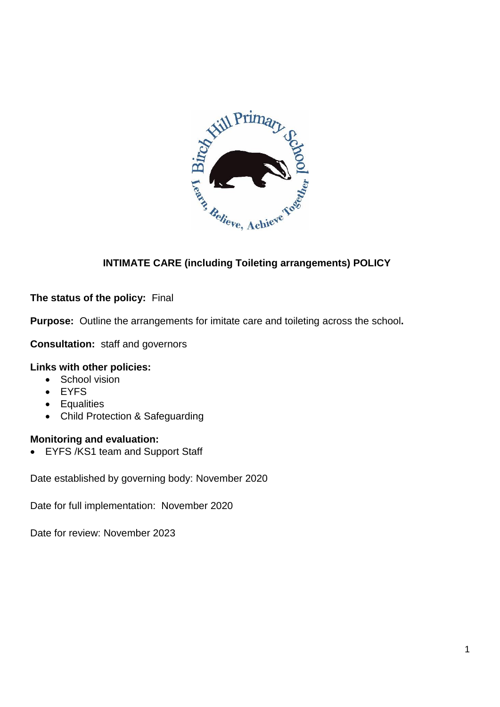

# **INTIMATE CARE (including Toileting arrangements) POLICY**

### **The status of the policy:** Final

**Purpose:** Outline the arrangements for imitate care and toileting across the school**.**

**Consultation:** staff and governors

## **Links with other policies:**

- School vision
- EYFS
- Equalities
- Child Protection & Safeguarding

#### **Monitoring and evaluation:**

• EYFS /KS1 team and Support Staff

Date established by governing body: November 2020

Date for full implementation: November 2020

Date for review: November 2023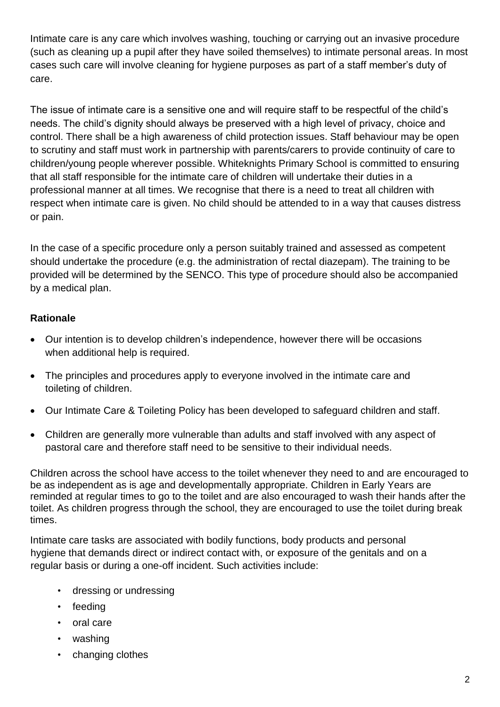Intimate care is any care which involves washing, touching or carrying out an invasive procedure (such as cleaning up a pupil after they have soiled themselves) to intimate personal areas. In most cases such care will involve cleaning for hygiene purposes as part of a staff member's duty of care.

The issue of intimate care is a sensitive one and will require staff to be respectful of the child's needs. The child's dignity should always be preserved with a high level of privacy, choice and control. There shall be a high awareness of child protection issues. Staff behaviour may be open to scrutiny and staff must work in partnership with parents/carers to provide continuity of care to children/young people wherever possible. Whiteknights Primary School is committed to ensuring that all staff responsible for the intimate care of children will undertake their duties in a professional manner at all times. We recognise that there is a need to treat all children with respect when intimate care is given. No child should be attended to in a way that causes distress or pain.

In the case of a specific procedure only a person suitably trained and assessed as competent should undertake the procedure (e.g. the administration of rectal diazepam). The training to be provided will be determined by the SENCO. This type of procedure should also be accompanied by a medical plan.

## **Rationale**

- Our intention is to develop children's independence, however there will be occasions when additional help is required.
- The principles and procedures apply to everyone involved in the intimate care and toileting of children.
- Our Intimate Care & Toileting Policy has been developed to safeguard children and staff.
- Children are generally more vulnerable than adults and staff involved with any aspect of pastoral care and therefore staff need to be sensitive to their individual needs.

Children across the school have access to the toilet whenever they need to and are encouraged to be as independent as is age and developmentally appropriate. Children in Early Years are reminded at regular times to go to the toilet and are also encouraged to wash their hands after the toilet. As children progress through the school, they are encouraged to use the toilet during break times.

Intimate care tasks are associated with bodily functions, body products and personal hygiene that demands direct or indirect contact with, or exposure of the genitals and on a regular basis or during a one-off incident. Such activities include:

- dressing or undressing
- feeding
- oral care
- washing
- changing clothes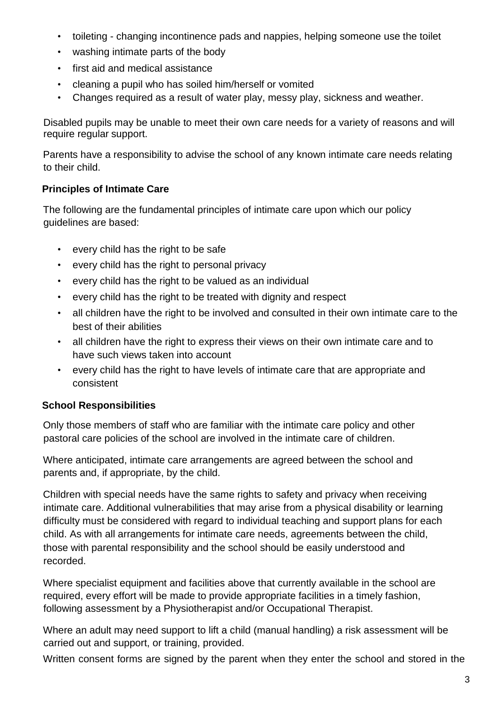- toileting changing incontinence pads and nappies, helping someone use the toilet
- washing intimate parts of the body
- first aid and medical assistance
- cleaning a pupil who has soiled him/herself or vomited
- Changes required as a result of water play, messy play, sickness and weather.

Disabled pupils may be unable to meet their own care needs for a variety of reasons and will require regular support.

Parents have a responsibility to advise the school of any known intimate care needs relating to their child.

## **Principles of Intimate Care**

The following are the fundamental principles of intimate care upon which our policy guidelines are based:

- every child has the right to be safe
- every child has the right to personal privacy
- every child has the right to be valued as an individual
- every child has the right to be treated with dignity and respect
- all children have the right to be involved and consulted in their own intimate care to the best of their abilities
- all children have the right to express their views on their own intimate care and to have such views taken into account
- every child has the right to have levels of intimate care that are appropriate and consistent

## **School Responsibilities**

Only those members of staff who are familiar with the intimate care policy and other pastoral care policies of the school are involved in the intimate care of children.

Where anticipated, intimate care arrangements are agreed between the school and parents and, if appropriate, by the child.

Children with special needs have the same rights to safety and privacy when receiving intimate care. Additional vulnerabilities that may arise from a physical disability or learning difficulty must be considered with regard to individual teaching and support plans for each child. As with all arrangements for intimate care needs, agreements between the child, those with parental responsibility and the school should be easily understood and recorded.

Where specialist equipment and facilities above that currently available in the school are required, every effort will be made to provide appropriate facilities in a timely fashion, following assessment by a Physiotherapist and/or Occupational Therapist.

Where an adult may need support to lift a child (manual handling) a risk assessment will be carried out and support, or training, provided.

Written consent forms are signed by the parent when they enter the school and stored in the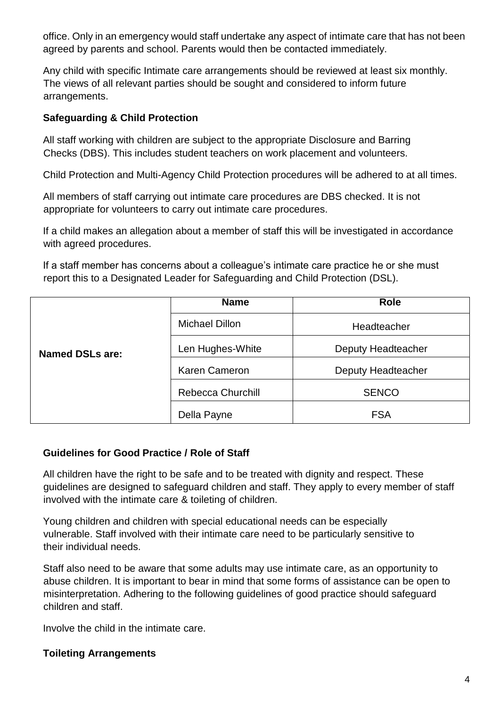office. Only in an emergency would staff undertake any aspect of intimate care that has not been agreed by parents and school. Parents would then be contacted immediately.

Any child with specific Intimate care arrangements should be reviewed at least six monthly. The views of all relevant parties should be sought and considered to inform future arrangements.

#### **Safeguarding & Child Protection**

All staff working with children are subject to the appropriate Disclosure and Barring Checks (DBS). This includes student teachers on work placement and volunteers.

Child Protection and Multi-Agency Child Protection procedures will be adhered to at all times.

All members of staff carrying out intimate care procedures are DBS checked. It is not appropriate for volunteers to carry out intimate care procedures.

If a child makes an allegation about a member of staff this will be investigated in accordance with agreed procedures.

If a staff member has concerns about a colleague's intimate care practice he or she must report this to a Designated Leader for Safeguarding and Child Protection (DSL).

| <b>Named DSLs are:</b> | <b>Name</b>              | <b>Role</b>        |
|------------------------|--------------------------|--------------------|
|                        | <b>Michael Dillon</b>    | Headteacher        |
|                        | Len Hughes-White         | Deputy Headteacher |
|                        | <b>Karen Cameron</b>     | Deputy Headteacher |
|                        | <b>Rebecca Churchill</b> | <b>SENCO</b>       |
|                        | Della Payne              | <b>FSA</b>         |

## **Guidelines for Good Practice / Role of Staff**

All children have the right to be safe and to be treated with dignity and respect. These guidelines are designed to safeguard children and staff. They apply to every member of staff involved with the intimate care & toileting of children.

Young children and children with special educational needs can be especially vulnerable. Staff involved with their intimate care need to be particularly sensitive to their individual needs.

Staff also need to be aware that some adults may use intimate care, as an opportunity to abuse children. It is important to bear in mind that some forms of assistance can be open to misinterpretation. Adhering to the following guidelines of good practice should safeguard children and staff.

Involve the child in the intimate care.

#### **Toileting Arrangements**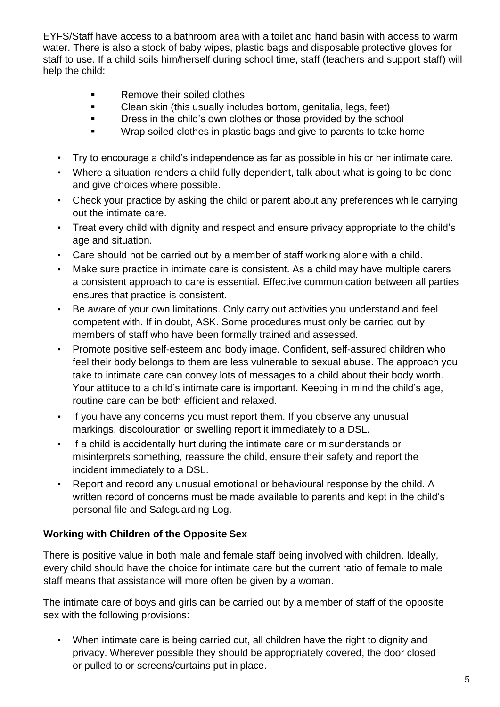EYFS/Staff have access to a bathroom area with a toilet and hand basin with access to warm water. There is also a stock of baby wipes, plastic bags and disposable protective gloves for staff to use. If a child soils him/herself during school time, staff (teachers and support staff) will help the child:

- Remove their soiled clothes
- **EXECLE** Clean skin (this usually includes bottom, genitalia, legs, feet)
- **EXECT:** Dress in the child's own clothes or those provided by the school
- Wrap soiled clothes in plastic bags and give to parents to take home
- Try to encourage a child's independence as far as possible in his or her intimate care.
- Where a situation renders a child fully dependent, talk about what is going to be done and give choices where possible.
- Check your practice by asking the child or parent about any preferences while carrying out the intimate care.
- Treat every child with dignity and respect and ensure privacy appropriate to the child's age and situation.
- Care should not be carried out by a member of staff working alone with a child.
- Make sure practice in intimate care is consistent. As a child may have multiple carers a consistent approach to care is essential. Effective communication between all parties ensures that practice is consistent.
- Be aware of your own limitations. Only carry out activities you understand and feel competent with. If in doubt, ASK. Some procedures must only be carried out by members of staff who have been formally trained and assessed.
- Promote positive self-esteem and body image. Confident, self-assured children who feel their body belongs to them are less vulnerable to sexual abuse. The approach you take to intimate care can convey lots of messages to a child about their body worth. Your attitude to a child's intimate care is important. Keeping in mind the child's age, routine care can be both efficient and relaxed.
- If you have any concerns you must report them. If you observe any unusual markings, discolouration or swelling report it immediately to a DSL.
- If a child is accidentally hurt during the intimate care or misunderstands or misinterprets something, reassure the child, ensure their safety and report the incident immediately to a DSL.
- Report and record any unusual emotional or behavioural response by the child. A written record of concerns must be made available to parents and kept in the child's personal file and Safeguarding Log.

## **Working with Children of the Opposite Sex**

There is positive value in both male and female staff being involved with children. Ideally, every child should have the choice for intimate care but the current ratio of female to male staff means that assistance will more often be given by a woman.

The intimate care of boys and girls can be carried out by a member of staff of the opposite sex with the following provisions:

When intimate care is being carried out, all children have the right to dignity and privacy. Wherever possible they should be appropriately covered, the door closed or pulled to or screens/curtains put in place.